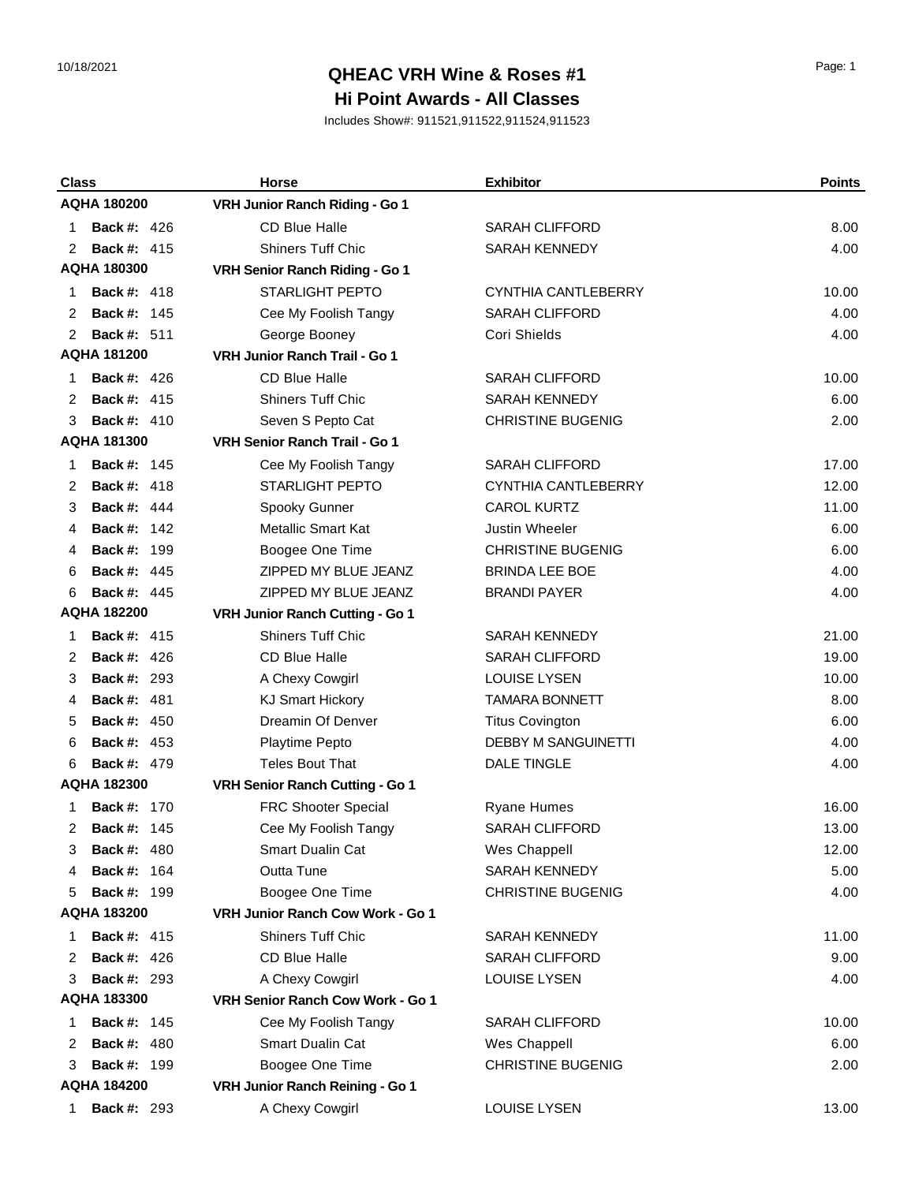#### 10/18/2021 Page: 1 **QHEAC VRH Wine & Roses #1 Hi Point Awards - All Classes**

| <b>Class</b>            | <b>Horse</b>                     | <b>Exhibitor</b>           | <b>Points</b> |
|-------------------------|----------------------------------|----------------------------|---------------|
| <b>AQHA 180200</b>      | VRH Junior Ranch Riding - Go 1   |                            |               |
| <b>Back #: 426</b><br>1 | <b>CD Blue Halle</b>             | <b>SARAH CLIFFORD</b>      | 8.00          |
| <b>Back #: 415</b><br>2 | <b>Shiners Tuff Chic</b>         | <b>SARAH KENNEDY</b>       | 4.00          |
| AQHA 180300             | VRH Senior Ranch Riding - Go 1   |                            |               |
| <b>Back #: 418</b><br>1 | <b>STARLIGHT PEPTO</b>           | CYNTHIA CANTLEBERRY        | 10.00         |
| <b>Back #: 145</b><br>2 | Cee My Foolish Tangy             | <b>SARAH CLIFFORD</b>      | 4.00          |
| <b>Back #: 511</b><br>2 | George Booney                    | Cori Shields               | 4.00          |
| <b>AQHA 181200</b>      | VRH Junior Ranch Trail - Go 1    |                            |               |
| <b>Back #: 426</b><br>1 | <b>CD Blue Halle</b>             | <b>SARAH CLIFFORD</b>      | 10.00         |
| <b>Back #: 415</b><br>2 | <b>Shiners Tuff Chic</b>         | <b>SARAH KENNEDY</b>       | 6.00          |
| <b>Back #: 410</b><br>3 | Seven S Pepto Cat                | <b>CHRISTINE BUGENIG</b>   | 2.00          |
| <b>AQHA 181300</b>      | VRH Senior Ranch Trail - Go 1    |                            |               |
| <b>Back #: 145</b><br>1 | Cee My Foolish Tangy             | <b>SARAH CLIFFORD</b>      | 17.00         |
| <b>Back #: 418</b><br>2 | <b>STARLIGHT PEPTO</b>           | CYNTHIA CANTLEBERRY        | 12.00         |
| <b>Back #: 444</b><br>3 | Spooky Gunner                    | <b>CAROL KURTZ</b>         | 11.00         |
| <b>Back #: 142</b><br>4 | <b>Metallic Smart Kat</b>        | Justin Wheeler             | 6.00          |
| Back #:<br>199<br>4     | Boogee One Time                  | <b>CHRISTINE BUGENIG</b>   | 6.00          |
| <b>Back #: 445</b><br>6 | ZIPPED MY BLUE JEANZ             | <b>BRINDA LEE BOE</b>      | 4.00          |
| <b>Back #: 445</b><br>6 | ZIPPED MY BLUE JEANZ             | <b>BRANDI PAYER</b>        | 4.00          |
| <b>AQHA 182200</b>      | VRH Junior Ranch Cutting - Go 1  |                            |               |
| <b>Back #: 415</b><br>1 | <b>Shiners Tuff Chic</b>         | <b>SARAH KENNEDY</b>       | 21.00         |
| <b>Back #: 426</b><br>2 | <b>CD Blue Halle</b>             | <b>SARAH CLIFFORD</b>      | 19.00         |
| <b>Back #: 293</b><br>3 | A Chexy Cowgirl                  | <b>LOUISE LYSEN</b>        | 10.00         |
| <b>Back #: 481</b><br>4 | <b>KJ Smart Hickory</b>          | <b>TAMARA BONNETT</b>      | 8.00          |
| <b>Back #: 450</b><br>5 | Dreamin Of Denver                | <b>Titus Covington</b>     | 6.00          |
| <b>Back #: 453</b><br>6 | <b>Playtime Pepto</b>            | <b>DEBBY M SANGUINETTI</b> | 4.00          |
| <b>Back #: 479</b><br>6 | <b>Teles Bout That</b>           | <b>DALE TINGLE</b>         | 4.00          |
| <b>AQHA 182300</b>      | VRH Senior Ranch Cutting - Go 1  |                            |               |
| <b>Back #: 170</b><br>1 | FRC Shooter Special              | <b>Ryane Humes</b>         | 16.00         |
| 2<br><b>Back #: 145</b> | Cee My Foolish Tangy             | <b>SARAH CLIFFORD</b>      | 13.00         |
| <b>Back #: 480</b><br>3 | <b>Smart Dualin Cat</b>          | Wes Chappell               | 12.00         |
| <b>Back #: 164</b><br>4 | Outta Tune                       | <b>SARAH KENNEDY</b>       | 5.00          |
| <b>Back #: 199</b><br>5 | Boogee One Time                  | <b>CHRISTINE BUGENIG</b>   | 4.00          |
| <b>AQHA 183200</b>      | VRH Junior Ranch Cow Work - Go 1 |                            |               |
| <b>Back #: 415</b><br>1 | <b>Shiners Tuff Chic</b>         | <b>SARAH KENNEDY</b>       | 11.00         |
| <b>Back #: 426</b><br>2 | CD Blue Halle                    | <b>SARAH CLIFFORD</b>      | 9.00          |
| <b>Back #: 293</b><br>3 | A Chexy Cowgirl                  | <b>LOUISE LYSEN</b>        | 4.00          |
| <b>AQHA 183300</b>      | VRH Senior Ranch Cow Work - Go 1 |                            |               |
| <b>Back #: 145</b><br>1 | Cee My Foolish Tangy             | <b>SARAH CLIFFORD</b>      | 10.00         |
| <b>Back #: 480</b><br>2 | Smart Dualin Cat                 | Wes Chappell               | 6.00          |
| <b>Back #: 199</b><br>3 | Boogee One Time                  | <b>CHRISTINE BUGENIG</b>   | 2.00          |
| <b>AQHA 184200</b>      | VRH Junior Ranch Reining - Go 1  |                            |               |
| <b>Back #: 293</b><br>1 | A Chexy Cowgirl                  | LOUISE LYSEN               | 13.00         |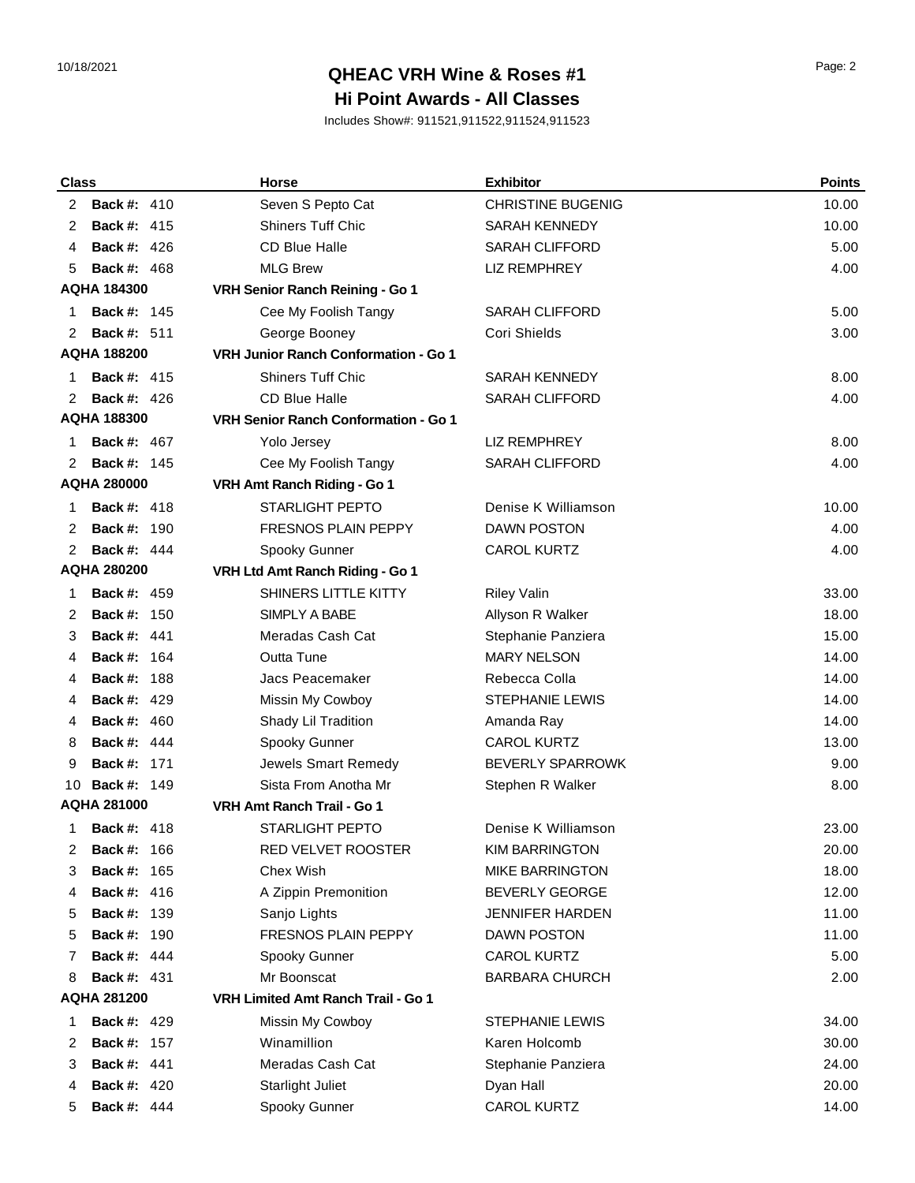# 10/18/2021 Page: 2 **QHEAC VRH Wine & Roses #1 Hi Point Awards - All Classes**

| <b>Class</b>                                     |                    | <b>Horse</b>                                | <b>Exhibitor</b>         | <b>Points</b> |
|--------------------------------------------------|--------------------|---------------------------------------------|--------------------------|---------------|
| 2                                                | <b>Back #: 410</b> | Seven S Pepto Cat                           | <b>CHRISTINE BUGENIG</b> | 10.00         |
| 2                                                | <b>Back #: 415</b> | <b>Shiners Tuff Chic</b>                    | <b>SARAH KENNEDY</b>     | 10.00         |
| 4                                                | <b>Back #: 426</b> | <b>CD Blue Halle</b>                        | <b>SARAH CLIFFORD</b>    | 5.00          |
| 5                                                | <b>Back #: 468</b> | <b>MLG Brew</b>                             | <b>LIZ REMPHREY</b>      | 4.00          |
|                                                  | <b>AQHA 184300</b> | VRH Senior Ranch Reining - Go 1             |                          |               |
| 1                                                | <b>Back #: 145</b> | Cee My Foolish Tangy                        | <b>SARAH CLIFFORD</b>    | 5.00          |
| 2                                                | <b>Back #: 511</b> | George Booney                               | Cori Shields             | 3.00          |
|                                                  | <b>AQHA 188200</b> | <b>VRH Junior Ranch Conformation - Go 1</b> |                          |               |
| 1                                                | <b>Back #: 415</b> | <b>Shiners Tuff Chic</b>                    | <b>SARAH KENNEDY</b>     | 8.00          |
| 2                                                | <b>Back #: 426</b> | <b>CD Blue Halle</b>                        | <b>SARAH CLIFFORD</b>    | 4.00          |
|                                                  | <b>AQHA 188300</b> | <b>VRH Senior Ranch Conformation - Go 1</b> |                          |               |
| 1                                                | <b>Back #: 467</b> | Yolo Jersey                                 | <b>LIZ REMPHREY</b>      | 8.00          |
| 2                                                | <b>Back #: 145</b> | Cee My Foolish Tangy                        | <b>SARAH CLIFFORD</b>    | 4.00          |
|                                                  | <b>AQHA 280000</b> | VRH Amt Ranch Riding - Go 1                 |                          |               |
| 1                                                | <b>Back #: 418</b> | <b>STARLIGHT PEPTO</b>                      | Denise K Williamson      | 10.00         |
| 2                                                | <b>Back #: 190</b> | <b>FRESNOS PLAIN PEPPY</b>                  | <b>DAWN POSTON</b>       | 4.00          |
| 2                                                | <b>Back #: 444</b> | Spooky Gunner                               | <b>CAROL KURTZ</b>       | 4.00          |
|                                                  | <b>AQHA 280200</b> | VRH Ltd Amt Ranch Riding - Go 1             |                          |               |
| 1                                                | <b>Back #: 459</b> | SHINERS LITTLE KITTY                        | <b>Riley Valin</b>       | 33.00         |
| 2                                                | <b>Back #: 150</b> | SIMPLY A BABE                               | Allyson R Walker         | 18.00         |
| 3                                                | <b>Back #: 441</b> | Meradas Cash Cat                            | Stephanie Panziera       | 15.00         |
| 4                                                | <b>Back #: 164</b> | Outta Tune                                  | <b>MARY NELSON</b>       | 14.00         |
| 4                                                | <b>Back #: 188</b> | Jacs Peacemaker                             | Rebecca Colla            | 14.00         |
| 4                                                | <b>Back #: 429</b> | Missin My Cowboy                            | <b>STEPHANIE LEWIS</b>   | 14.00         |
| 4                                                | <b>Back #: 460</b> | Shady Lil Tradition                         | Amanda Ray               | 14.00         |
| 8                                                | <b>Back #: 444</b> | Spooky Gunner                               | <b>CAROL KURTZ</b>       | 13.00         |
| 9                                                | <b>Back #: 171</b> | Jewels Smart Remedy                         | <b>BEVERLY SPARROWK</b>  | 9.00          |
| 10                                               | <b>Back #: 149</b> | Sista From Anotha Mr                        | Stephen R Walker         | 8.00          |
| <b>AQHA 281000</b><br>VRH Amt Ranch Trail - Go 1 |                    |                                             |                          |               |
| 1                                                | <b>Back #: 418</b> | STARLIGHT PEPTO                             | Denise K Williamson      | 23.00         |
| 2                                                | <b>Back #: 166</b> | RED VELVET ROOSTER                          | <b>KIM BARRINGTON</b>    | 20.00         |
| 3                                                | <b>Back #: 165</b> | Chex Wish                                   | <b>MIKE BARRINGTON</b>   | 18.00         |
| 4                                                | <b>Back #: 416</b> | A Zippin Premonition                        | <b>BEVERLY GEORGE</b>    | 12.00         |
| 5                                                | <b>Back #: 139</b> | Sanjo Lights                                | <b>JENNIFER HARDEN</b>   | 11.00         |
| 5                                                | <b>Back #: 190</b> | FRESNOS PLAIN PEPPY                         | <b>DAWN POSTON</b>       | 11.00         |
| 7                                                | <b>Back #: 444</b> | Spooky Gunner                               | <b>CAROL KURTZ</b>       | 5.00          |
| 8                                                | <b>Back #: 431</b> | Mr Boonscat                                 | <b>BARBARA CHURCH</b>    | 2.00          |
|                                                  | <b>AQHA 281200</b> | <b>VRH Limited Amt Ranch Trail - Go 1</b>   |                          |               |
| 1                                                | <b>Back #: 429</b> | Missin My Cowboy                            | <b>STEPHANIE LEWIS</b>   | 34.00         |
| 2                                                | <b>Back #: 157</b> | Winamillion                                 | Karen Holcomb            | 30.00         |
| 3                                                | <b>Back #: 441</b> | Meradas Cash Cat                            | Stephanie Panziera       | 24.00         |
| 4                                                | <b>Back #: 420</b> | <b>Starlight Juliet</b>                     | Dyan Hall                | 20.00         |
| 5                                                | <b>Back #: 444</b> | Spooky Gunner                               | CAROL KURTZ              | 14.00         |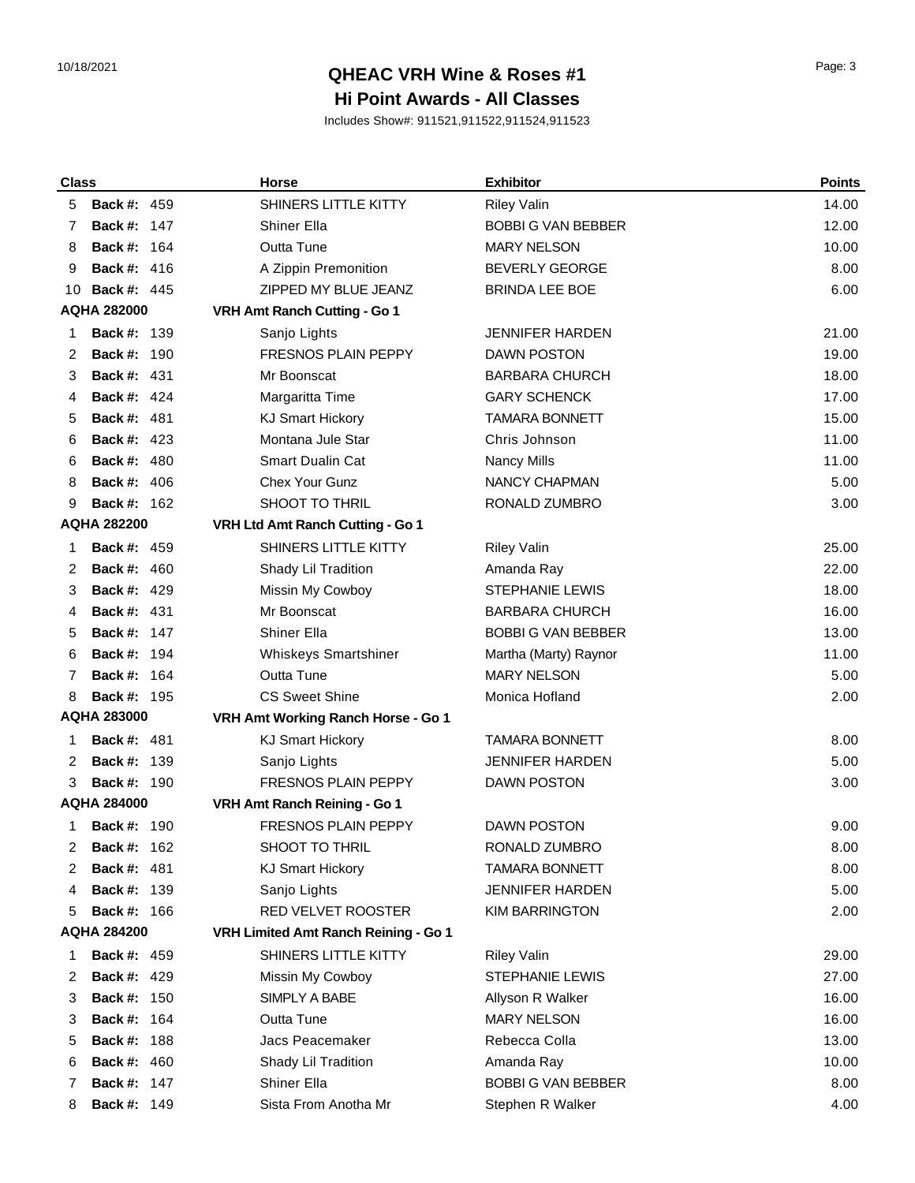## 10/18/2021 Page: 3 **QHEAC VRH Wine & Roses #1 Hi Point Awards - All Classes**

| <b>Class</b>       |                    | <b>Horse</b>                         | <b>Exhibitor</b>          | <b>Points</b> |
|--------------------|--------------------|--------------------------------------|---------------------------|---------------|
| 5                  | <b>Back #: 459</b> | SHINERS LITTLE KITTY                 | <b>Riley Valin</b>        | 14.00         |
| 7                  | <b>Back #: 147</b> | <b>Shiner Ella</b>                   | <b>BOBBI G VAN BEBBER</b> | 12.00         |
| 8                  | <b>Back #: 164</b> | Outta Tune                           | <b>MARY NELSON</b>        | 10.00         |
| 9                  | <b>Back #: 416</b> | A Zippin Premonition                 | <b>BEVERLY GEORGE</b>     | 8.00          |
| 10                 | <b>Back #: 445</b> | ZIPPED MY BLUE JEANZ                 | <b>BRINDA LEE BOE</b>     | 6.00          |
|                    | <b>AQHA 282000</b> | VRH Amt Ranch Cutting - Go 1         |                           |               |
| 1                  | <b>Back #: 139</b> | Sanjo Lights                         | <b>JENNIFER HARDEN</b>    | 21.00         |
| 2                  | <b>Back #: 190</b> | <b>FRESNOS PLAIN PEPPY</b>           | <b>DAWN POSTON</b>        | 19.00         |
| 3                  | <b>Back #: 431</b> | Mr Boonscat                          | <b>BARBARA CHURCH</b>     | 18.00         |
| 4                  | <b>Back #: 424</b> | Margaritta Time                      | <b>GARY SCHENCK</b>       | 17.00         |
| 5                  | <b>Back #: 481</b> | <b>KJ Smart Hickory</b>              | <b>TAMARA BONNETT</b>     | 15.00         |
| 6                  | <b>Back #: 423</b> | Montana Jule Star                    | Chris Johnson             | 11.00         |
| 6                  | <b>Back #: 480</b> | <b>Smart Dualin Cat</b>              | Nancy Mills               | 11.00         |
| 8                  | <b>Back #: 406</b> | Chex Your Gunz                       | <b>NANCY CHAPMAN</b>      | 5.00          |
| 9                  | <b>Back #: 162</b> | SHOOT TO THRIL                       | RONALD ZUMBRO             | 3.00          |
| <b>AQHA 282200</b> |                    | VRH Ltd Amt Ranch Cutting - Go 1     |                           |               |
| 1                  | <b>Back #: 459</b> | SHINERS LITTLE KITTY                 | <b>Riley Valin</b>        | 25.00         |
| 2                  | <b>Back #: 460</b> | Shady Lil Tradition                  | Amanda Ray                | 22.00         |
| 3                  | <b>Back #: 429</b> | Missin My Cowboy                     | <b>STEPHANIE LEWIS</b>    | 18.00         |
| 4                  | <b>Back #: 431</b> | Mr Boonscat                          | <b>BARBARA CHURCH</b>     | 16.00         |
| 5                  | <b>Back #: 147</b> | Shiner Ella                          | <b>BOBBI G VAN BEBBER</b> | 13.00         |
| 6                  | <b>Back #: 194</b> | Whiskeys Smartshiner                 | Martha (Marty) Raynor     | 11.00         |
| 7                  | <b>Back #: 164</b> | Outta Tune                           | <b>MARY NELSON</b>        | 5.00          |
| 8                  | <b>Back #: 195</b> | <b>CS Sweet Shine</b>                | Monica Hofland            | 2.00          |
|                    | <b>AQHA 283000</b> | VRH Amt Working Ranch Horse - Go 1   |                           |               |
| 1                  | <b>Back #: 481</b> | <b>KJ Smart Hickory</b>              | <b>TAMARA BONNETT</b>     | 8.00          |
| 2                  | <b>Back #: 139</b> | Sanjo Lights                         | <b>JENNIFER HARDEN</b>    | 5.00          |
| 3                  | <b>Back #: 190</b> | <b>FRESNOS PLAIN PEPPY</b>           | <b>DAWN POSTON</b>        | 3.00          |
| <b>AQHA 284000</b> |                    | VRH Amt Ranch Reining - Go 1         |                           |               |
| 1                  | <b>Back #: 190</b> | <b>FRESNOS PLAIN PEPPY</b>           | <b>DAWN POSTON</b>        | 9.00          |
| 2                  | <b>Back #: 162</b> | SHOOT TO THRIL                       | RONALD ZUMBRO             | 8.00          |
| 2                  | <b>Back #: 481</b> | <b>KJ Smart Hickory</b>              | <b>TAMARA BONNETT</b>     | 8.00          |
| 4                  | <b>Back #: 139</b> | Sanjo Lights                         | <b>JENNIFER HARDEN</b>    | 5.00          |
| 5                  | <b>Back #: 166</b> | <b>RED VELVET ROOSTER</b>            | <b>KIM BARRINGTON</b>     | 2.00          |
|                    | <b>AQHA 284200</b> | VRH Limited Amt Ranch Reining - Go 1 |                           |               |
| 1                  | <b>Back #: 459</b> | SHINERS LITTLE KITTY                 | <b>Riley Valin</b>        | 29.00         |
| 2                  | <b>Back #: 429</b> | Missin My Cowboy                     | <b>STEPHANIE LEWIS</b>    | 27.00         |
| 3                  | <b>Back #: 150</b> | SIMPLY A BABE                        | Allyson R Walker          | 16.00         |
| 3                  | <b>Back #: 164</b> | Outta Tune                           | <b>MARY NELSON</b>        | 16.00         |
| 5                  | <b>Back #: 188</b> | Jacs Peacemaker                      | Rebecca Colla             | 13.00         |
| 6                  | <b>Back #: 460</b> | Shady Lil Tradition                  | Amanda Ray                | 10.00         |
| 7                  | <b>Back #: 147</b> | Shiner Ella                          | <b>BOBBI G VAN BEBBER</b> | 8.00          |
| 8                  | <b>Back #: 149</b> | Sista From Anotha Mr                 | Stephen R Walker          | 4.00          |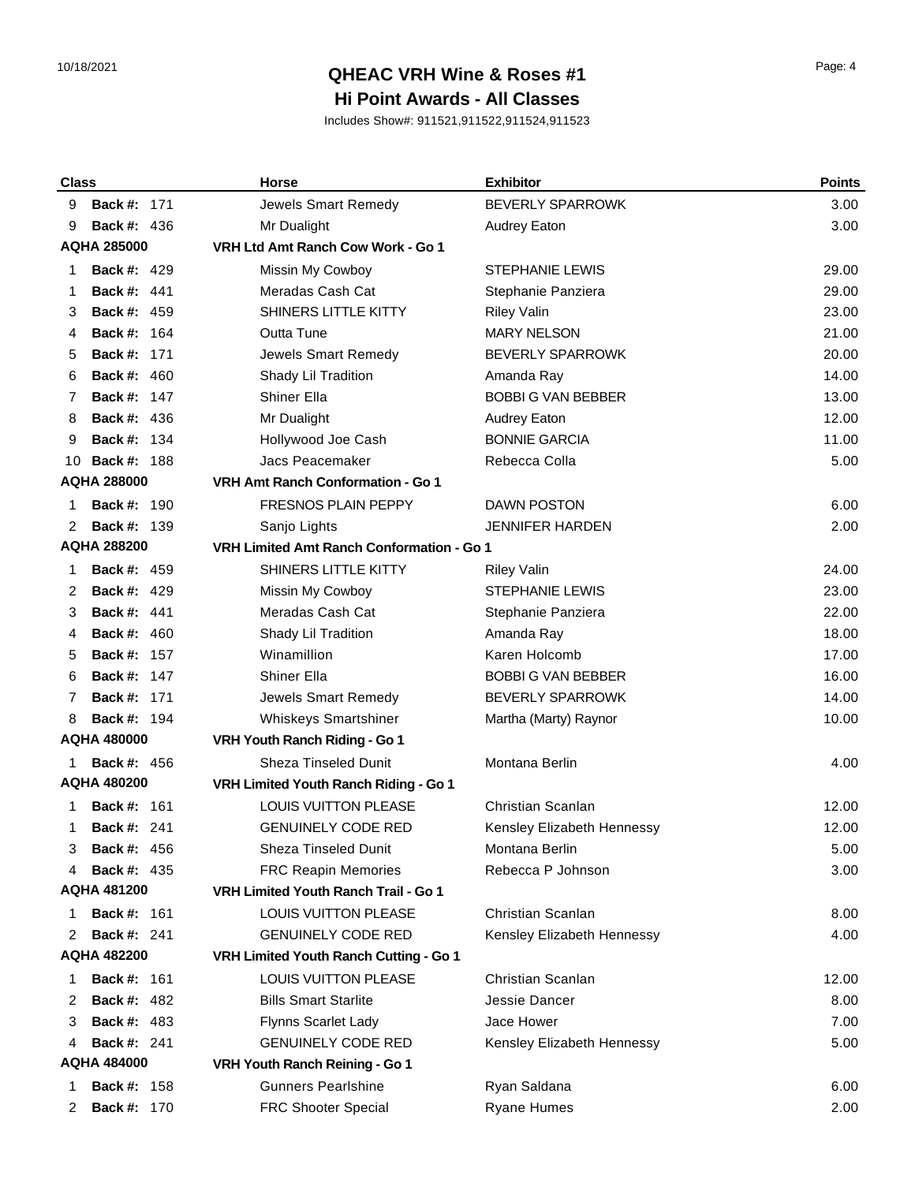# 10/18/2021 Page: 4 **QHEAC VRH Wine & Roses #1 Hi Point Awards - All Classes**

| <b>Class</b>                                                    | Horse                                       | <b>Exhibitor</b>           | <b>Points</b> |
|-----------------------------------------------------------------|---------------------------------------------|----------------------------|---------------|
| <b>Back #: 171</b><br>9                                         | Jewels Smart Remedy                         | BEVERLY SPARROWK           | 3.00          |
| <b>Back #: 436</b><br>9                                         | Mr Dualight                                 | Audrey Eaton               | 3.00          |
| <b>AQHA 285000</b>                                              | VRH Ltd Amt Ranch Cow Work - Go 1           |                            |               |
| <b>Back #: 429</b><br>1                                         | Missin My Cowboy                            | <b>STEPHANIE LEWIS</b>     | 29.00         |
| <b>Back #: 441</b><br>1                                         | Meradas Cash Cat                            | Stephanie Panziera         | 29.00         |
| <b>Back #: 459</b><br>3                                         | SHINERS LITTLE KITTY                        | <b>Riley Valin</b>         | 23.00         |
| <b>Back #: 164</b><br>4                                         | Outta Tune                                  | <b>MARY NELSON</b>         | 21.00         |
| <b>Back #: 171</b><br>5                                         | Jewels Smart Remedy                         | <b>BEVERLY SPARROWK</b>    | 20.00         |
| <b>Back #: 460</b><br>6                                         | Shady Lil Tradition                         | Amanda Ray                 | 14.00         |
| <b>Back #: 147</b><br>7                                         | <b>Shiner Ella</b>                          | <b>BOBBI G VAN BEBBER</b>  | 13.00         |
| <b>Back #: 436</b><br>8                                         | Mr Dualight                                 | Audrey Eaton               | 12.00         |
| <b>Back #: 134</b><br>9                                         | Hollywood Joe Cash                          | <b>BONNIE GARCIA</b>       | 11.00         |
| <b>Back #: 188</b><br>10                                        | Jacs Peacemaker                             | Rebecca Colla              | 5.00          |
| <b>AQHA 288000</b>                                              | <b>VRH Amt Ranch Conformation - Go 1</b>    |                            |               |
| <b>Back #: 190</b><br>1                                         | <b>FRESNOS PLAIN PEPPY</b>                  | <b>DAWN POSTON</b>         | 6.00          |
| <b>Back #: 139</b>                                              | Sanjo Lights                                | <b>JENNIFER HARDEN</b>     | 2.00          |
| <b>AQHA 288200</b><br>VRH Limited Amt Ranch Conformation - Go 1 |                                             |                            |               |
| <b>Back #: 459</b><br>1                                         | SHINERS LITTLE KITTY                        | <b>Riley Valin</b>         | 24.00         |
| <b>Back #: 429</b><br>2                                         | Missin My Cowboy                            | <b>STEPHANIE LEWIS</b>     | 23.00         |
| <b>Back #: 441</b><br>3                                         | Meradas Cash Cat                            | Stephanie Panziera         | 22.00         |
| <b>Back #: 460</b><br>4                                         | Shady Lil Tradition                         | Amanda Ray                 | 18.00         |
| <b>Back #: 157</b><br>5                                         | Winamillion                                 | Karen Holcomb              | 17.00         |
| <b>Back #: 147</b><br>6                                         | <b>Shiner Ella</b>                          | <b>BOBBI G VAN BEBBER</b>  | 16.00         |
| <b>Back #: 171</b><br>7                                         | Jewels Smart Remedy                         | BEVERLY SPARROWK           | 14.00         |
| <b>Back #: 194</b><br>8                                         | <b>Whiskeys Smartshiner</b>                 | Martha (Marty) Raynor      | 10.00         |
| <b>AQHA 480000</b>                                              | VRH Youth Ranch Riding - Go 1               |                            |               |
| <b>Back #: 456</b><br>1.                                        | <b>Sheza Tinseled Dunit</b>                 | Montana Berlin             | 4.00          |
| <b>AQHA 480200</b>                                              | VRH Limited Youth Ranch Riding - Go 1       |                            |               |
| <b>Back #: 161</b><br>1                                         | <b>LOUIS VUITTON PLEASE</b>                 | <b>Christian Scanlan</b>   | 12.00         |
| <b>Back #: 241</b><br>1                                         | <b>GENUINELY CODE RED</b>                   | Kensley Elizabeth Hennessy | 12.00         |
| <b>Back #: 456</b><br>3                                         | Sheza Tinseled Dunit                        | Montana Berlin             | 5.00          |
| <b>Back #: 435</b><br>4                                         | <b>FRC Reapin Memories</b>                  | Rebecca P Johnson          | 3.00          |
| <b>AQHA 481200</b>                                              | <b>VRH Limited Youth Ranch Trail - Go 1</b> |                            |               |
| <b>Back #: 161</b><br>1                                         | <b>LOUIS VUITTON PLEASE</b>                 | Christian Scanlan          | 8.00          |
| <b>Back #: 241</b><br>2                                         | <b>GENUINELY CODE RED</b>                   | Kensley Elizabeth Hennessy | 4.00          |
| <b>AQHA 482200</b><br>VRH Limited Youth Ranch Cutting - Go 1    |                                             |                            |               |
| <b>Back #: 161</b><br>1                                         | LOUIS VUITTON PLEASE                        | Christian Scanlan          | 12.00         |
| <b>Back #: 482</b><br>2                                         | <b>Bills Smart Starlite</b>                 | Jessie Dancer              | 8.00          |
| <b>Back #: 483</b><br>3                                         | <b>Flynns Scarlet Lady</b>                  | Jace Hower                 | 7.00          |
| <b>Back #: 241</b><br>4                                         | <b>GENUINELY CODE RED</b>                   | Kensley Elizabeth Hennessy | 5.00          |
| AQHA 484000                                                     | VRH Youth Ranch Reining - Go 1              |                            |               |
| <b>Back #: 158</b><br>1                                         | <b>Gunners Pearlshine</b>                   | Ryan Saldana               | 6.00          |
| <b>Back #: 170</b><br>2                                         | FRC Shooter Special                         | <b>Ryane Humes</b>         | 2.00          |